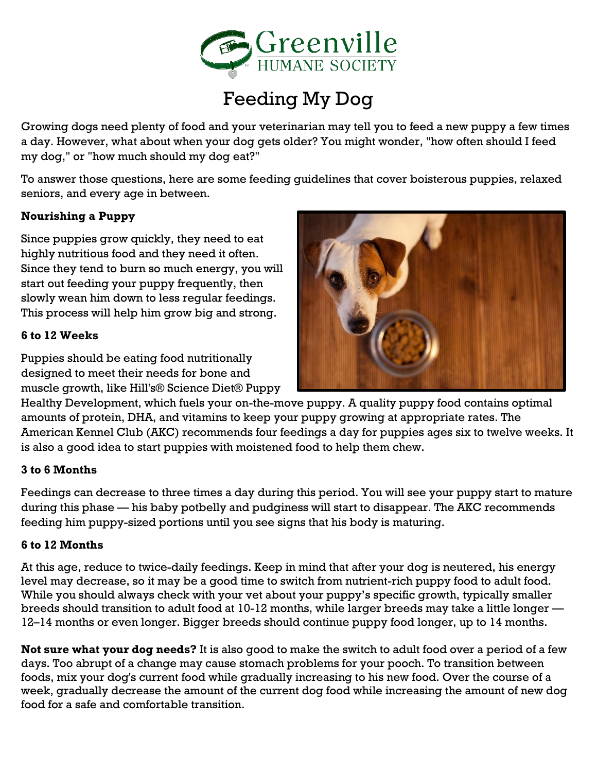

# Feeding My Dog

Growing dogs need plenty of food and your veterinarian may tell you to feed a new puppy a few times a day. However, what about when your dog gets older? You might wonder, "how often should I feed my dog," or "how much should my dog eat?"

To answer those questions, here are some feeding guidelines that cover boisterous puppies, relaxed seniors, and every age in between.

#### **Nourishing a Puppy**

Since puppies grow quickly, they need to eat highly nutritious food and they need it often. Since they tend to burn so much energy, you will start out feeding your puppy frequently, then slowly wean him down to less regular feedings. This process will help him grow big and strong.

#### **6 to 12 Weeks**

Puppies should be eating food nutritionally designed to meet their needs for bone and muscle growth, like Hill's® Science Diet® Puppy



Healthy Development, which fuels your on-the-move puppy. A quality puppy food contains optimal amounts of protein, DHA, and vitamins to keep your puppy growing at appropriate rates. The American Kennel Club (AKC) recommends four feedings a day for puppies ages six to twelve weeks. It is also a good idea to start puppies with moistened food to help them chew.

#### **3 to 6 Months**

Feedings can decrease to three times a day during this period. You will see your puppy start to mature during this phase — his baby potbelly and pudginess will start to disappear. The AKC recommends feeding him puppy-sized portions until you see signs that his body is maturing.

#### **6 to 12 Months**

At this age, reduce to twice-daily feedings. Keep in mind that after your dog is neutered, his energy level may decrease, so it may be a good time to switch from nutrient-rich puppy food to adult food. While you should always check with your vet about your puppy's specific growth, typically smaller breeds should transition to adult food at 10-12 months, while larger breeds may take a little longer — 12–14 months or even longer. Bigger breeds should continue puppy food longer, up to 14 months.

**Not sure what your dog needs?** It is also good to make the switch to adult food over a period of a few days. Too abrupt of a change may cause stomach problems for your pooch. To transition between foods, mix your dog's current food while gradually increasing to his new food. Over the course of a week, gradually decrease the amount of the current dog food while increasing the amount of new dog food for a safe and comfortable transition.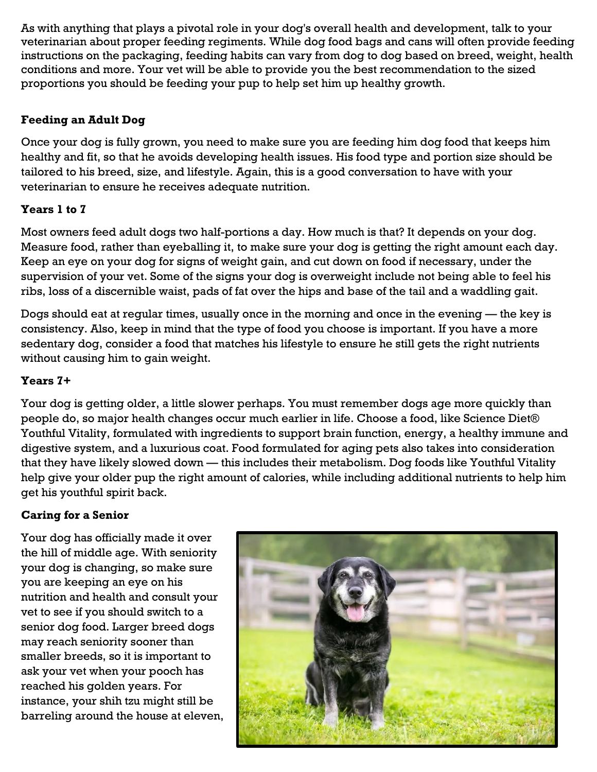As with anything that plays a pivotal role in your dog's overall health and development, talk to your veterinarian about proper feeding regiments. While dog food bags and cans will often provide feeding instructions on the packaging, feeding habits can vary from dog to dog based on breed, weight, health conditions and more. Your vet will be able to provide you the best recommendation to the sized proportions you should be feeding your pup to help set him up healthy growth.

### **Feeding an Adult Dog**

Once your dog is fully grown, you need to make sure you are feeding him dog food that keeps him healthy and fit, so that he avoids developing health issues. His food type and portion size should be tailored to his breed, size, and lifestyle. Again, this is a good conversation to have with your veterinarian to ensure he receives adequate nutrition.

### **Years 1 to 7**

Most owners feed adult dogs two half-portions a day. How much is that? It depends on your dog. Measure food, rather than eyeballing it, to make sure your dog is getting the right amount each day. Keep an eye on your dog for signs of weight gain, and cut down on food if necessary, under the supervision of your vet. Some of the signs your dog is overweight include not being able to feel his ribs, loss of a discernible waist, pads of fat over the hips and base of the tail and a waddling gait.

Dogs should eat at regular times, usually once in the morning and once in the evening — the key is consistency. Also, keep in mind that the type of food you choose is important. If you have a more sedentary dog, consider a food that matches his lifestyle to ensure he still gets the right nutrients without causing him to gain weight.

#### **Years 7+**

Your dog is getting older, a little slower perhaps. You must remember dogs age more quickly than people do, so major health changes occur much earlier in life. Choose a food, like Science Diet® Youthful Vitality, formulated with ingredients to support brain function, energy, a healthy immune and digestive system, and a luxurious coat. Food formulated for aging pets also takes into consideration that they have likely slowed down — this includes their metabolism. Dog foods like Youthful Vitality help give your older pup the right amount of calories, while including additional nutrients to help him get his youthful spirit back.

#### **Caring for a Senior**

Your dog has officially made it over the hill of middle age. With seniority your dog is changing, so make sure you are keeping an eye on his nutrition and health and consult your vet to see if you should switch to a senior dog food. Larger breed dogs may reach seniority sooner than smaller breeds, so it is important to ask your vet when your pooch has reached his golden years. For instance, your shih tzu might still be barreling around the house at eleven,

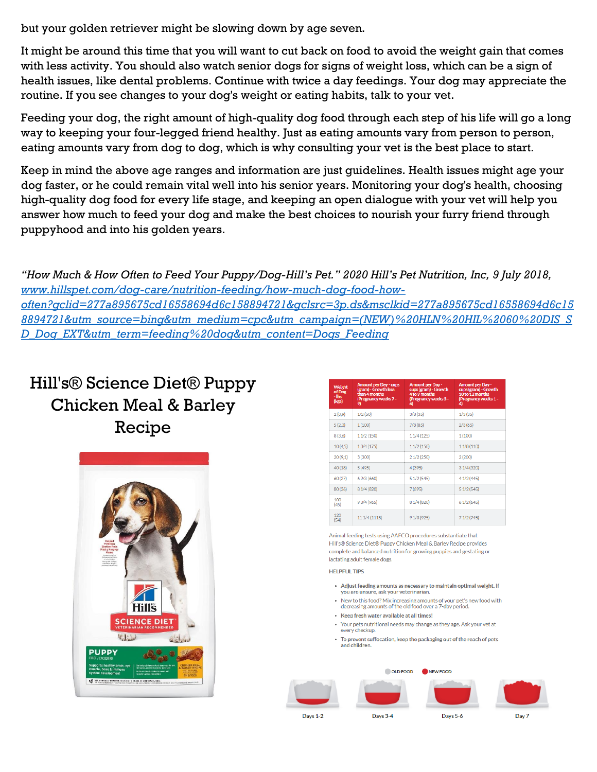but your golden retriever might be slowing down by age seven.

It might be around this time that you will want to cut back on food to avoid the weight gain that comes with less activity. You should also watch senior dogs for signs of weight loss, which can be a sign of health issues, like dental problems. Continue with twice a day feedings. Your dog may appreciate the routine. If you see changes to your dog's weight or eating habits, talk to your vet.

Feeding your dog, the right amount of high-quality dog food through each step of his life will go a long way to keeping your four-legged friend healthy. Just as eating amounts vary from person to person, eating amounts vary from dog to dog, which is why consulting your vet is the best place to start.

Keep in mind the above age ranges and information are just guidelines. Health issues might age your dog faster, or he could remain vital well into his senior years. Monitoring your dog's health, choosing high-quality dog food for every life stage, and keeping an open dialogue with your vet will help you answer how much to feed your dog and make the best choices to nourish your furry friend through puppyhood and into his golden years.

*"How Much & How Often to Feed Your Puppy/Dog-Hill's Pet." 2020 Hill's Pet Nutrition, Inc, 9 July 2018, [www.hillspet.com/dog-care/nutrition-feeding/how-much-dog-food-how](http://www.hillspet.com/dog-care/nutrition-feeding/how-much-dog-food-how-often?gclid=277a895675cd16558694d6c158894721&gclsrc=3p.ds&msclkid=277a895675cd16558694d6c158894721&utm_source=bing&utm_medium=cpc&utm_campaign=(NEW)%20HLN%20HIL%2060%20DIS_SD_Dog_EXT&utm_term=feeding%20dog&utm_content=Dogs_Feeding)[often?gclid=277a895675cd16558694d6c158894721&gclsrc=3p.ds&msclkid=277a895675cd16558694d6c15](http://www.hillspet.com/dog-care/nutrition-feeding/how-much-dog-food-how-often?gclid=277a895675cd16558694d6c158894721&gclsrc=3p.ds&msclkid=277a895675cd16558694d6c158894721&utm_source=bing&utm_medium=cpc&utm_campaign=(NEW)%20HLN%20HIL%2060%20DIS_SD_Dog_EXT&utm_term=feeding%20dog&utm_content=Dogs_Feeding) [8894721&utm\\_source=bing&utm\\_medium=cpc&utm\\_campaign=\(NEW\)%20HLN%20HIL%2060%20DIS\\_S](http://www.hillspet.com/dog-care/nutrition-feeding/how-much-dog-food-how-often?gclid=277a895675cd16558694d6c158894721&gclsrc=3p.ds&msclkid=277a895675cd16558694d6c158894721&utm_source=bing&utm_medium=cpc&utm_campaign=(NEW)%20HLN%20HIL%2060%20DIS_SD_Dog_EXT&utm_term=feeding%20dog&utm_content=Dogs_Feeding) [D\\_Dog\\_EXT&utm\\_term=feeding%20dog&utm\\_content=Dogs\\_Feeding](http://www.hillspet.com/dog-care/nutrition-feeding/how-much-dog-food-how-often?gclid=277a895675cd16558694d6c158894721&gclsrc=3p.ds&msclkid=277a895675cd16558694d6c158894721&utm_source=bing&utm_medium=cpc&utm_campaign=(NEW)%20HLN%20HIL%2060%20DIS_SD_Dog_EXT&utm_term=feeding%20dog&utm_content=Dogs_Feeding)*

### Hill's® Science Diet® Puppy Chicken Meal & Barley Recipe



| Weight<br>of Dog<br>-lbs<br>(kgs) | <b>Amount per Day - cups</b><br>(gram) - Growth less<br>than 4 months<br>(Pregnancy weeks 7 -<br>9) | <b>Amount per Day -</b><br>cups (gram) - Growth<br>4 to 9 months<br>(Pregnancy weeks 5 -<br>6) | <b>Amount per Day -</b><br>cups (gram) - Growth<br>10 to 12 months<br>(Pregnancy weeks 1 -<br>4) |
|-----------------------------------|-----------------------------------------------------------------------------------------------------|------------------------------------------------------------------------------------------------|--------------------------------------------------------------------------------------------------|
| 2(0,9)                            | 1/2(50)                                                                                             | 3/8(35)                                                                                        | 1/3(35)                                                                                          |
| 5(2,3)                            | 1(100)                                                                                              | 7/8(85)                                                                                        | 2/3(65)                                                                                          |
| 8(3,6)                            | 1 1/2 (150)                                                                                         | 1 1/4 (125)                                                                                    | 1(100)                                                                                           |
| 10(4.5)                           | 13/4(175)                                                                                           | 1 1/2 (150)                                                                                    | 1 1/8 (110)                                                                                      |
| 20(9.1)                           | 3(300)                                                                                              | 21/2(250)                                                                                      | 2(200)                                                                                           |
| 40(18)                            | 5(495)                                                                                              | 4(395)                                                                                         | 31/4(320)                                                                                        |
| 60(27)                            | 62/3 (660)                                                                                          | 5 1/2 (545)                                                                                    | 4 1/2 (445)                                                                                      |
| 80(36)                            | 8 1/4 (820)                                                                                         | 7(695)                                                                                         | 5 1/2 (545)                                                                                      |
| 100<br>(45)                       | 9 3/4 (965)                                                                                         | 8 1/4 (820)                                                                                    | 61/2(645)                                                                                        |
| 120<br>(54)                       | 11 1/4 (1115)                                                                                       | 9 1/3 (925)                                                                                    | 71/2(745)                                                                                        |

Animal feeding tests using AAFCO procedures substantiate that Hill's® Science Diet® Puppy Chicken Meal & Barley Recipe provides complete and balanced nutrition for growing puppies and gestating or lactating adult female dogs.

#### **HELPFUL TIPS**

- Adjust feeding amounts as necessary to maintain optimal weight. If you are unsure, ask your veterinarian.
- . New to this food? Mix increasing amounts of your pet's new food with decreasing amounts of the old food over a 7-day pe
- Keep fresh water available at all times!
- Your pets nutritional needs may change as they age. Ask your vet at every checkup.
- To prevent suffocation, keep the packaging out of the reach of pets and children.